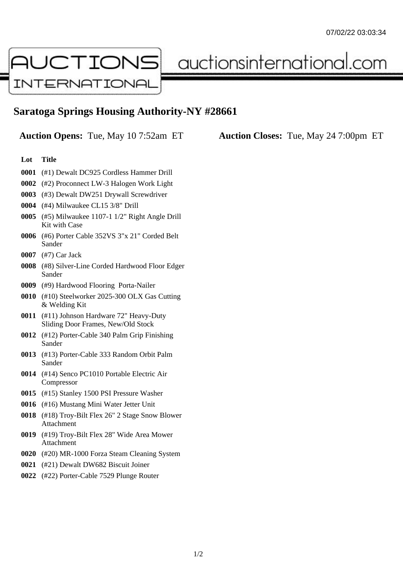

auctionsinternational.com

## **Saratoga Springs Housing Authority-NY #28661**

**Auction Opens:** Tue, May 10 7:52am ET **Auction Closes:** Tue, May 24 7:00pm ET

## **Lot Title**

- **0001** (#1) Dewalt DC925 Cordless Hammer Drill
- **0002** (#2) Proconnect LW-3 Halogen Work Light
- **0003** (#3) Dewalt DW251 Drywall Screwdriver
- **0004** (#4) Milwaukee CL15 3/8" Drill
- **0005** (#5) Milwaukee 1107-1 1/2" Right Angle Drill Kit with Case
- **0006** (#6) Porter Cable 352VS 3"x 21" Corded Belt Sander
- **0007** (#7) Car Jack
- **0008** (#8) Silver-Line Corded Hardwood Floor Edger Sander
- **0009** (#9) Hardwood Flooring Porta-Nailer
- **0010** (#10) Steelworker 2025-300 OLX Gas Cutting & Welding Kit
- **0011** (#11) Johnson Hardware 72" Heavy-Duty Sliding Door Frames, New/Old Stock
- **0012** (#12) Porter-Cable 340 Palm Grip Finishing Sander
- **0013** (#13) Porter-Cable 333 Random Orbit Palm Sander
- **0014** (#14) Senco PC1010 Portable Electric Air Compressor
- **0015** (#15) Stanley 1500 PSI Pressure Washer
- **0016** (#16) Mustang Mini Water Jetter Unit
- **0018** (#18) Troy-Bilt Flex 26" 2 Stage Snow Blower Attachment
- **0019** (#19) Troy-Bilt Flex 28" Wide Area Mower Attachment
- **0020** (#20) MR-1000 Forza Steam Cleaning System
- **0021** (#21) Dewalt DW682 Biscuit Joiner
- **0022** (#22) Porter-Cable 7529 Plunge Router